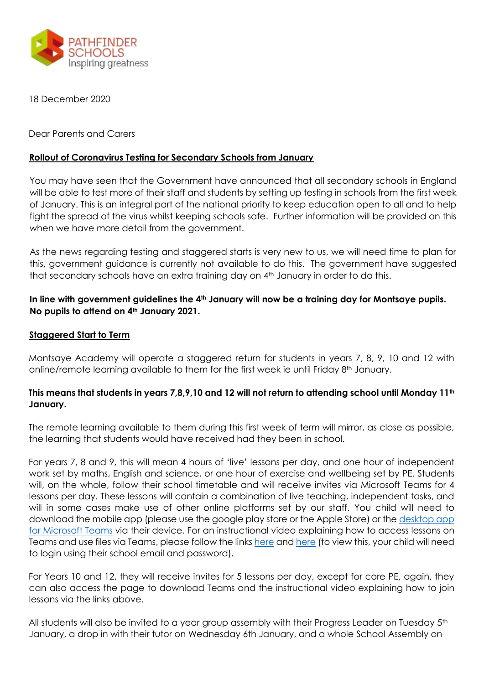

18 December 2020

Dear Parents and Carers

## **Rollout of Coronavirus Testing for Secondary Schools from January**

You may have seen that the Government have announced that all secondary schools in England will be able to test more of their staff and students by setting up testing in schools from the first week of January. This is an integral part of the national priority to keep education open to all and to help fight the spread of the virus whilst keeping schools safe. Further information will be provided on this when we have more detail from the government.

As the news regarding testing and staggered starts is very new to us, we will need time to plan for this, government guidance is currently not available to do this. The government have suggested that secondary schools have an extra training day on 4<sup>th</sup> January in order to do this.

# **In line with government guidelines the 4th January will now be a training day for Montsaye pupils. No pupils to attend on 4th January 2021.**

# **Staggered Start to Term**

Montsaye Academy will operate a staggered return for students in years 7, 8, 9, 10 and 12 with online/remote learning available to them for the first week ie until Friday  $8<sup>th</sup>$  January.

# **This means that students in years 7,8,9,10 and 12 will not return to attending school until Monday 11th January.**

The remote learning available to them during this first week of term will mirror, as close as possible, the learning that students would have received had they been in school.

For years 7, 8 and 9, this will mean 4 hours of 'live' lessons per day, and one hour of independent work set by maths, English and science, or one hour of exercise and wellbeing set by PE. Students will, on the whole, follow their school timetable and will receive invites via Microsoft Teams for 4 lessons per day. These lessons will contain a combination of live teaching, independent tasks, and will in some cases make use of other online platforms set by our staff. You child will need to download the mobile app (please use the google play store or the Apple Store) or the [desktop app](https://www.microsoft.com/en-gb/microsoft-365/microsoft-teams/download-app)  [for Microsoft Teams](https://www.microsoft.com/en-gb/microsoft-365/microsoft-teams/download-app) via their device. For an instructional video explaining how to access lessons on Teams and use files via Teams, please follow the links [here](https://web.microsoftstream.com/video/21ff8c5a-f60e-46e2-a7bf-bfb62e990d47) and [here](https://web.microsoftstream.com/video/3fe10e74-52b4-47b2-af5b-a9204e18fd29) (to view this, your child will need to login using their school email and password).

For Years 10 and 12, they will receive invites for 5 lessons per day, except for core PE, again, they can also access the page to download Teams and the instructional video explaining how to join lessons via the links above.

All students will also be invited to a year group assembly with their Progress Leader on Tuesday 5<sup>th</sup> January, a drop in with their tutor on Wednesday 6th January, and a whole School Assembly on